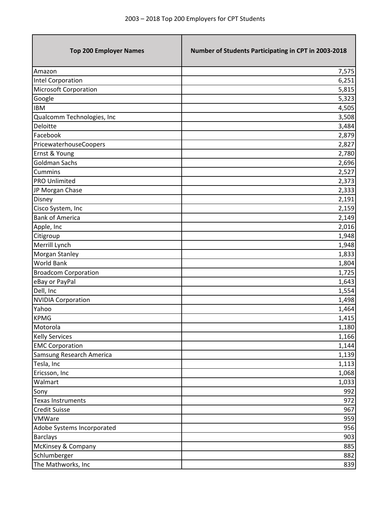т

| <b>Top 200 Employer Names</b> | Number of Students Participating in CPT in 2003-2018 |
|-------------------------------|------------------------------------------------------|
| Amazon                        | 7,575                                                |
| Intel Corporation             | 6,251                                                |
| <b>Microsoft Corporation</b>  | 5,815                                                |
| Google                        | 5,323                                                |
| <b>IBM</b>                    | 4,505                                                |
| Qualcomm Technologies, Inc    | 3,508                                                |
| Deloitte                      | 3,484                                                |
| Facebook                      | 2,879                                                |
| PricewaterhouseCoopers        | 2,827                                                |
| Ernst & Young                 | 2,780                                                |
| <b>Goldman Sachs</b>          | 2,696                                                |
| <b>Cummins</b>                | 2,527                                                |
| <b>PRO Unlimited</b>          | 2,373                                                |
| JP Morgan Chase               | 2,333                                                |
| Disney                        | 2,191                                                |
| Cisco System, Inc             | 2,159                                                |
| <b>Bank of America</b>        | 2,149                                                |
| Apple, Inc                    | 2,016                                                |
| Citigroup                     | 1,948                                                |
| Merrill Lynch                 | 1,948                                                |
| Morgan Stanley                | 1,833                                                |
| <b>World Bank</b>             | 1,804                                                |
| <b>Broadcom Corporation</b>   | 1,725                                                |
| eBay or PayPal                | 1,643                                                |
| Dell, Inc                     | 1,554                                                |
| <b>NVIDIA Corporation</b>     | 1,498                                                |
| Yahoo                         | 1,464                                                |
| <b>KPMG</b>                   | 1,415                                                |
| Motorola                      | 1,180                                                |
| <b>Kelly Services</b>         | 1,166                                                |
| <b>EMC Corporation</b>        | 1,144                                                |
| Samsung Research America      | 1,139                                                |
| Tesla, Inc                    | 1,113                                                |
| Ericsson, Inc                 | 1,068                                                |
| Walmart                       | 1,033                                                |
| Sony                          | 992                                                  |
| <b>Texas Instruments</b>      | 972                                                  |
| <b>Credit Suisse</b>          | 967                                                  |
| VMWare                        | 959                                                  |
| Adobe Systems Incorporated    | 956                                                  |
| <b>Barclays</b>               | 903                                                  |
| McKinsey & Company            | 885                                                  |
| Schlumberger                  | 882                                                  |
| The Mathworks, Inc            | 839                                                  |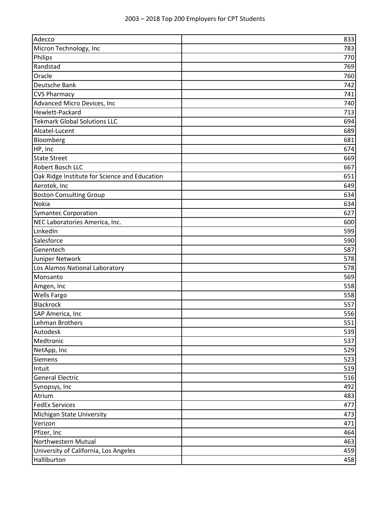| Adecco                                        | 833 |
|-----------------------------------------------|-----|
| Micron Technology, Inc                        | 783 |
| Philips                                       | 770 |
| Randstad                                      | 769 |
| Oracle                                        | 760 |
| Deutsche Bank                                 | 742 |
| <b>CVS Pharmacy</b>                           | 741 |
| Advanced Micro Devices, Inc                   | 740 |
| Hewlett-Packard                               | 713 |
| <b>Tekmark Global Solutions LLC</b>           | 694 |
| Alcatel-Lucent                                | 689 |
| Bloomberg                                     | 681 |
| HP, Inc                                       | 674 |
| <b>State Street</b>                           | 669 |
| Robert Bosch LLC                              | 667 |
| Oak Ridge Institute for Science and Education | 651 |
| Aerotek, Inc                                  | 649 |
| <b>Boston Consulting Group</b>                | 634 |
| <b>Nokia</b>                                  | 634 |
| <b>Symantec Corporation</b>                   | 627 |
| NEC Laboratories America, Inc.                | 600 |
| LinkedIn                                      | 599 |
| Salesforce                                    | 590 |
| Genentech                                     | 587 |
| Juniper Network                               | 578 |
| Los Alamos National Laboratory                | 578 |
| Monsanto                                      | 569 |
| Amgen, Inc                                    | 558 |
| <b>Wells Fargo</b>                            | 558 |
| Blackrock                                     | 557 |
| SAP America, Inc                              | 556 |
| Lehman Brothers                               | 551 |
| Autodesk                                      | 539 |
| Medtronic                                     | 537 |
| NetApp, Inc                                   | 529 |
| <b>Siemens</b>                                | 523 |
| Intuit                                        | 519 |
| <b>General Electric</b>                       | 516 |
| Synopsys, Inc                                 | 492 |
| Atrium                                        | 483 |
| <b>FedEx Services</b>                         | 477 |
| Michigan State University                     | 473 |
| Verizon                                       | 471 |
| Pfizer, Inc                                   | 464 |
| Northwestern Mutual                           | 463 |
| University of California, Los Angeles         | 459 |
| Halliburton                                   | 458 |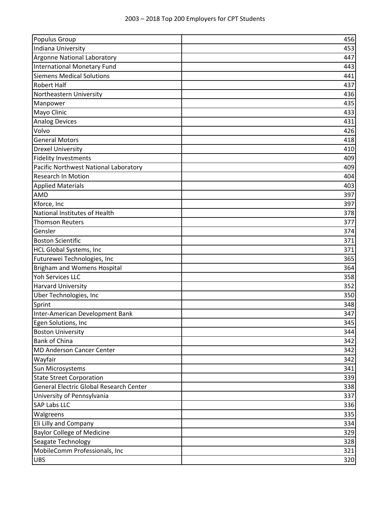| Populus Group                           | 456 |
|-----------------------------------------|-----|
| Indiana University                      | 453 |
| Argonne National Laboratory             | 447 |
| <b>International Monetary Fund</b>      | 443 |
| <b>Siemens Medical Solutions</b>        | 441 |
| <b>Robert Half</b>                      | 437 |
| Northeastern University                 | 436 |
| Manpower                                | 435 |
| Mayo Clinic                             | 433 |
| <b>Analog Devices</b>                   | 431 |
| Volvo                                   | 426 |
| <b>General Motors</b>                   | 418 |
| <b>Drexel University</b>                | 410 |
| <b>Fidelity Investments</b>             | 409 |
| Pacific Northwest National Laboratory   | 409 |
| <b>Research In Motion</b>               | 404 |
| <b>Applied Materials</b>                | 403 |
| <b>AMD</b>                              | 397 |
| Kforce, Inc                             | 397 |
| National Institutes of Health           | 378 |
| <b>Thomson Reuters</b>                  | 377 |
| Gensler                                 | 374 |
| <b>Boston Scientific</b>                | 371 |
| <b>HCL Global Systems, Inc</b>          | 371 |
| Futurewei Technologies, Inc             | 365 |
| <b>Brigham and Womens Hospital</b>      | 364 |
| <b>Yoh Services LLC</b>                 | 358 |
| <b>Harvard University</b>               | 352 |
| Uber Technologies, Inc                  | 350 |
| Sprint                                  | 348 |
| Inter-American Development Bank         | 347 |
| Egen Solutions, Inc                     | 345 |
| <b>Boston University</b>                | 344 |
| <b>Bank of China</b>                    | 342 |
| <b>MD Anderson Cancer Center</b>        | 342 |
| Wayfair                                 | 342 |
| Sun Microsystems                        | 341 |
| <b>State Street Corporation</b>         | 339 |
| General Electric Global Research Center | 338 |
| University of Pennsylvania              | 337 |
| <b>SAP Labs LLC</b>                     | 336 |
| Walgreens                               | 335 |
| Eli Lilly and Company                   | 334 |
| <b>Baylor College of Medicine</b>       | 329 |
| Seagate Technology                      | 328 |
| MobileComm Professionals, Inc           | 321 |
| <b>UBS</b>                              | 320 |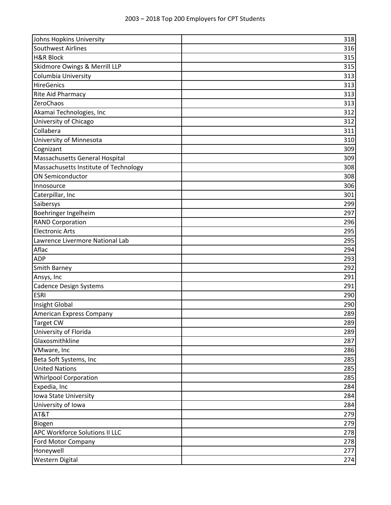| Johns Hopkins University              | 318 |
|---------------------------------------|-----|
| Southwest Airlines                    | 316 |
| <b>H&amp;R Block</b>                  | 315 |
| Skidmore Owings & Merrill LLP         | 315 |
| Columbia University                   | 313 |
| <b>HireGenics</b>                     | 313 |
| <b>Rite Aid Pharmacy</b>              | 313 |
| ZeroChaos                             | 313 |
| Akamai Technologies, Inc              | 312 |
| University of Chicago                 | 312 |
| Collabera                             | 311 |
| University of Minnesota               | 310 |
| Cognizant                             | 309 |
| Massachusetts General Hospital        | 309 |
| Massachusetts Institute of Technology | 308 |
| <b>ON Semiconductor</b>               | 308 |
| Innosource                            | 306 |
| Caterpillar, Inc                      | 301 |
| Saibersys                             | 299 |
| Boehringer Ingelheim                  | 297 |
| <b>RAND Corporation</b>               | 296 |
| <b>Electronic Arts</b>                | 295 |
| Lawrence Livermore National Lab       | 295 |
| Aflac                                 | 294 |
| <b>ADP</b>                            | 293 |
| <b>Smith Barney</b>                   | 292 |
| Ansys, Inc                            | 291 |
| <b>Cadence Design Systems</b>         | 291 |
| <b>ESRI</b>                           | 290 |
| Insight Global                        | 290 |
| American Express Company              | 289 |
| Target CW                             | 289 |
| University of Florida                 | 289 |
| Glaxosmithkline                       | 287 |
| VMware, Inc                           | 286 |
| Beta Soft Systems, Inc                | 285 |
| <b>United Nations</b>                 | 285 |
| <b>Whirlpool Corporation</b>          | 285 |
| Expedia, Inc                          | 284 |
| Iowa State University                 | 284 |
| University of Iowa                    | 284 |
| AT&T                                  | 279 |
| Biogen                                | 279 |
| APC Workforce Solutions II LLC        | 278 |
| Ford Motor Company                    | 278 |
| Honeywell                             | 277 |
| Western Digital                       | 274 |